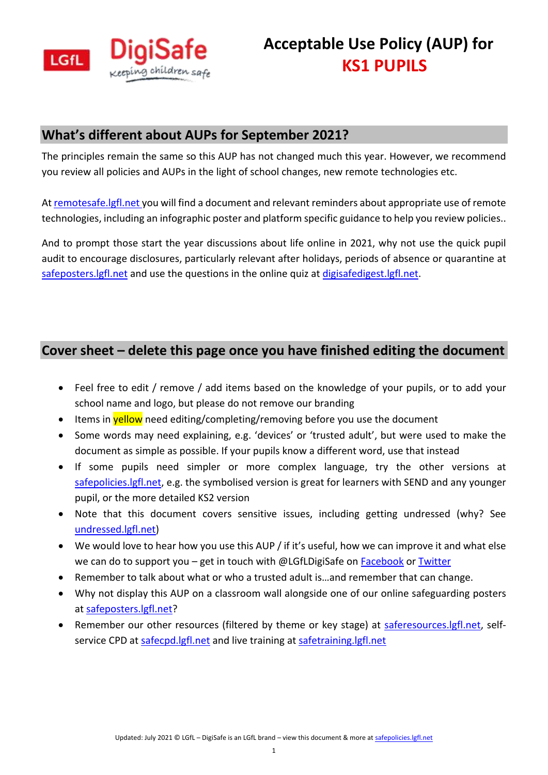

## **What's different about AUPs for September 2021?**

The principles remain the same so this AUP has not changed much this year. However, we recommend you review all policies and AUPs in the light of school changes, new remote technologies etc.

A[t remotesafe.lgfl.net](https://national.lgfl.net/digisafe/safe-remote-learning) you will find a document and relevant reminders about appropriate use of remote technologies, including an infographic poster and platform specific guidance to help you review policies..

And to prompt those start the year discussions about life online in 2021, why not use the quick pupil audit to encourage disclosures, particularly relevant after holidays, periods of absence or quarantine at [safeposters.lgfl.net](https://www.lgfl.net/online-safety/resource-centre?s=33) and use the questions in the online quiz at [digisafedigest.lgfl.net.](https://digisafedigest.lgfl.net/)

# **Cover sheet – delete this page once you have finished editing the document**

- Feel free to edit / remove / add items based on the knowledge of your pupils, or to add your school name and logo, but please do not remove our branding
- Items in **yellow** need editing/completing/removing before you use the document
- Some words may need explaining, e.g. 'devices' or 'trusted adult', but were used to make the document as simple as possible. If your pupils know a different word, use that instead
- If some pupils need simpler or more complex language, try the other versions at [safepolicies.lgfl.net,](https://safepolicies.lgfl.net/) e.g. the symbolised version is great for learners with SEND and any younger pupil, or the more detailed KS2 version
- Note that this document covers sensitive issues, including getting undressed (why? See [undressed.lgfl.net\)](https://undressed.lgfl.net/)
- We would love to hear how you use this AUP / if it's useful, how we can improve it and what else we can do to support you – get in touch with @LGfLDigiSafe on [Facebook](https://www.facebook.com/lgfldigisafe) o[r Twitter](https://twitter.com/LGfLDigiSafe)
- Remember to talk about what or who a trusted adult is…and remember that can change.
- Why not display this AUP on a classroom wall alongside one of our online safeguarding [posters](https://posters.lgfl.net/) at [safeposters.lgfl.net?](https://safeposters.lgfl.net/)
- Remember our other resources (filtered by theme or key stage) at saferesources. Igfl.net, selfservice CPD at [safecpd.lgfl.net](https://safecpd.lgfl.net/) and live training at [safetraining.lgfl.net](https://safetraining.lgfl.net/)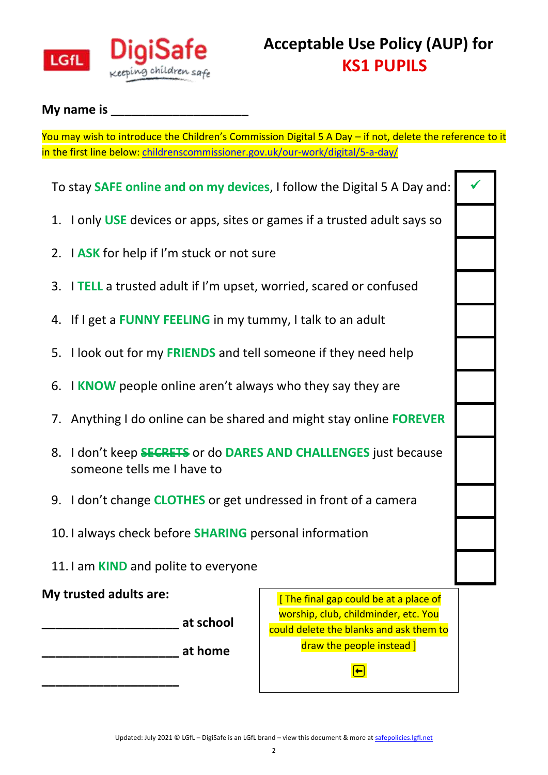

### **My name is**

You may wish to introduce the Children's Commission Digital 5 A Day – if not, delete the reference to it in the first line below: [childrenscommissioner.gov.uk/our-work/digital/5-a-day/](https://www.childrenscommissioner.gov.uk/our-work/digital/5-a-day/)

To stay **SAFE online and on my devices**, I follow the Digital 5 A Day and: ✓

- 1. I only **USE** devices or apps, sites or games if a trusted adult says so
- 2. I **ASK** for help if I'm stuck or not sure
- 3. I **TELL** a trusted adult if I'm upset, worried, scared or confused
- 4. If I get a **FUNNY FEELING** in my tummy, I talk to an adult
- 5. I look out for my **FRIENDS** and tell someone if they need help
- 6. I **KNOW** people online aren't always who they say they are
- 7. Anything I do online can be shared and might stay online **FOREVER**
- 8. I don't keep **SECRETS** or do **DARES AND CHALLENGES** just because someone tells me I have to
- 9. I don't change **CLOTHES** or get undressed in front of a camera
- 10. I always check before **SHARING** personal information
- 11. I am **KIND** and polite to everyone

#### **My trusted adults are:**

**\_\_\_\_\_\_\_\_\_\_\_\_\_\_\_\_\_\_\_\_**

**\_\_\_\_\_\_\_\_\_\_\_\_\_\_\_\_\_\_\_\_ at school**

**\_\_\_\_\_\_\_\_\_\_\_\_\_\_\_\_\_\_\_\_ at home**

[ The final gap could be at a place of worship, club, childminder, etc. You could delete the blanks and ask them to draw the people instead 1

 $\boxed{\color{blue}\blacksquare}$